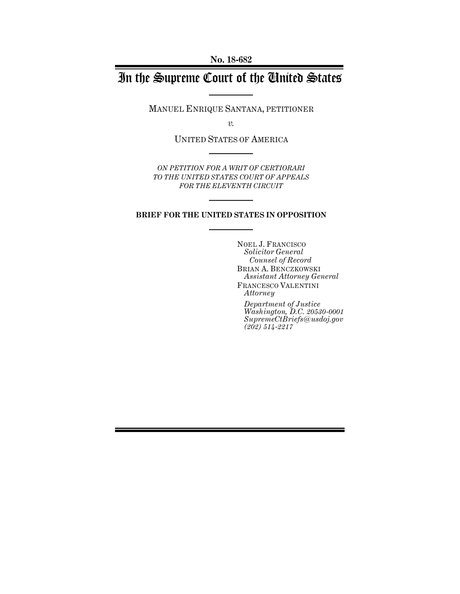**No. 18-682**

# In the Supreme Court of the United States

MANUEL ENRIQUE SANTANA, PETITIONER

*v.*

UNITED STATES OF AMERICA

*ON PETITION FOR A WRIT OF CERTIORARI TO THE UNITED STATES COURT OF APPEALS FOR THE ELEVENTH CIRCUIT*

## **BRIEF FOR THE UNITED STATES IN OPPOSITION**

NOEL J. FRANCISCO *Solicitor General Counsel of Record* BRIAN A. BENCZKOWSKI *Assistant Attorney General* FRANCESCO VALENTINI *Attorney*

*Department of Justice Washington, D.C. 20530-0001 SupremeCtBriefs@usdoj.gov (202) 514-2217*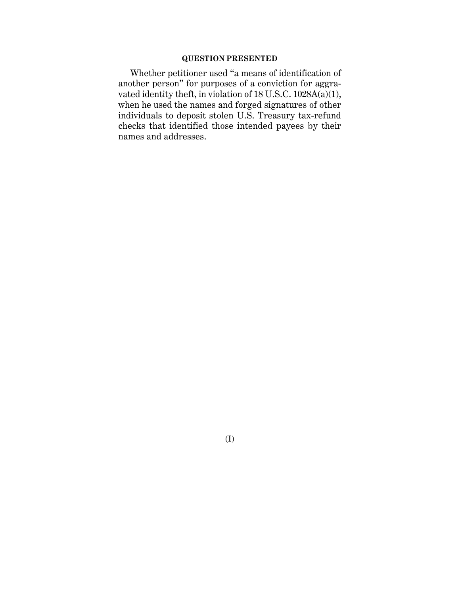### **QUESTION PRESENTED**

Whether petitioner used "a means of identification of another person" for purposes of a conviction for aggravated identity theft, in violation of 18 U.S.C. 1028A(a)(1), when he used the names and forged signatures of other individuals to deposit stolen U.S. Treasury tax-refund checks that identified those intended payees by their names and addresses.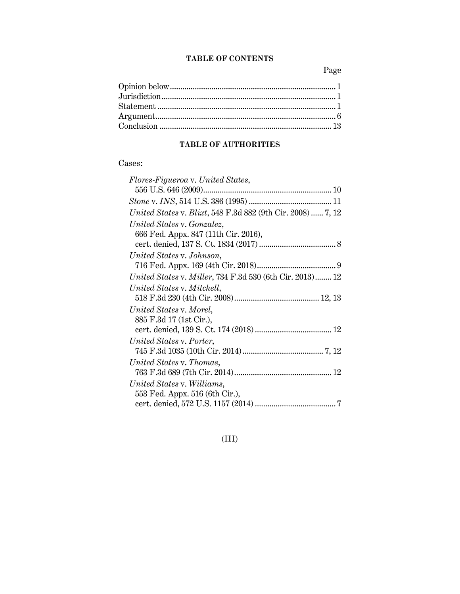## **TABLE OF CONTENTS**

Page

## **TABLE OF AUTHORITIES**

## Cases:

| Flores-Figueroa v. United States,                               |
|-----------------------------------------------------------------|
|                                                                 |
|                                                                 |
| United States v. Blixt, 548 F.3d 882 (9th Cir. 2008)  7, 12     |
| United States v. Gonzalez,                                      |
| 666 Fed. Appx. 847 (11th Cir. 2016),                            |
|                                                                 |
| United States v. Johnson,                                       |
|                                                                 |
| <i>United States v. Miller, 734 F.3d 530 (6th Cir. 2013)</i> 12 |
| United States v. Mitchell,                                      |
|                                                                 |
| United States v. Morel,                                         |
| 885 F.3d 17 (1st Cir.),                                         |
|                                                                 |
| United States v. Porter,                                        |
|                                                                 |
| United States v. Thomas,                                        |
|                                                                 |
| United States v. Williams,                                      |
| 553 Fed. Appx. 516 (6th Cir.),                                  |
|                                                                 |

## (III)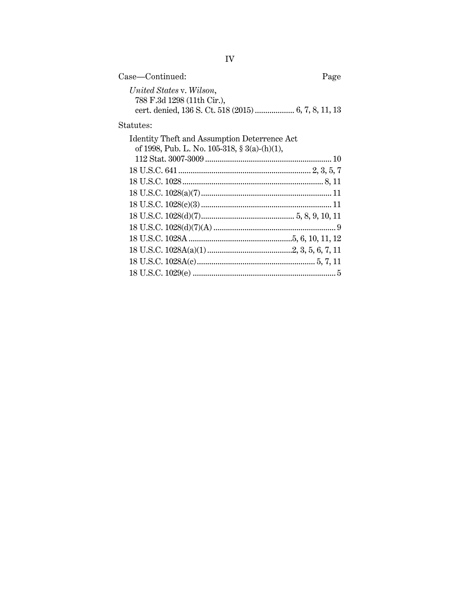| Case—Continued:            | Page |
|----------------------------|------|
| United States v. Wilson,   |      |
| 788 F.3d 1298 (11th Cir.), |      |
|                            |      |

 $\begin{minipage}{.4\linewidth} \textbf{Status:} \end{minipage} \vspace{-0.3em}$ 

| <b>Identity Theft and Assumption Deterrence Act</b> |  |
|-----------------------------------------------------|--|
| of 1998, Pub. L. No. 105-318, § 3(a)-(h)(1),        |  |
|                                                     |  |
|                                                     |  |
|                                                     |  |
|                                                     |  |
|                                                     |  |
|                                                     |  |
|                                                     |  |
|                                                     |  |
|                                                     |  |
|                                                     |  |
|                                                     |  |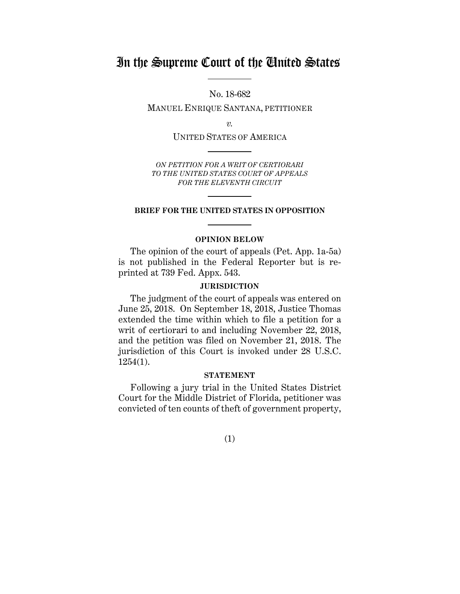# In the Supreme Court of the United States

No. 18-682

MANUEL ENRIQUE SANTANA, PETITIONER

*v.*

UNITED STATES OF AMERICA

*ON PETITION FOR A WRIT OF CERTIORARI TO THE UNITED STATES COURT OF APPEALS FOR THE ELEVENTH CIRCUIT*

#### **BRIEF FOR THE UNITED STATES IN OPPOSITION**

### **OPINION BELOW**

The opinion of the court of appeals (Pet. App. 1a-5a) is not published in the Federal Reporter but is reprinted at 739 Fed. Appx. 543.

### **JURISDICTION**

The judgment of the court of appeals was entered on June 25, 2018. On September 18, 2018, Justice Thomas extended the time within which to file a petition for a writ of certiorari to and including November 22, 2018, and the petition was filed on November 21, 2018. The jurisdiction of this Court is invoked under 28 U.S.C. 1254(1).

## **STATEMENT**

Following a jury trial in the United States District Court for the Middle District of Florida, petitioner was convicted of ten counts of theft of government property,

(1)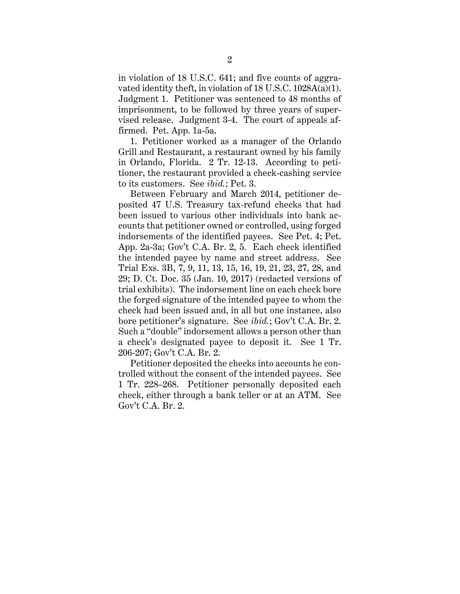in violation of 18 U.S.C. 641; and five counts of aggravated identity theft, in violation of 18 U.S.C. 1028A(a)(1). Judgment 1. Petitioner was sentenced to 48 months of imprisonment, to be followed by three years of supervised release. Judgment 3-4. The court of appeals affirmed. Pet. App. 1a-5a.

1. Petitioner worked as a manager of the Orlando Grill and Restaurant, a restaurant owned by his family in Orlando, Florida. 2 Tr. 12-13. According to petitioner, the restaurant provided a check-cashing service to its customers. See *ibid.*; Pet. 3.

Between February and March 2014, petitioner deposited 47 U.S. Treasury tax-refund checks that had been issued to various other individuals into bank accounts that petitioner owned or controlled, using forged indorsements of the identified payees. See Pet. 4; Pet. App. 2a-3a; Gov't C.A. Br. 2, 5. Each check identified the intended payee by name and street address. See Trial Exs. 3B, 7, 9, 11, 13, 15, 16, 19, 21, 23, 27, 28, and 29; D. Ct. Doc. 35 (Jan. 10, 2017) (redacted versions of trial exhibits). The indorsement line on each check bore the forged signature of the intended payee to whom the check had been issued and, in all but one instance, also bore petitioner's signature. See *ibid.*; Gov't C.A. Br. 2. Such a "double" indorsement allows a person other than a check's designated payee to deposit it. See 1 Tr. 206-207; Gov't C.A. Br. 2.

Petitioner deposited the checks into accounts he controlled without the consent of the intended payees. See 1 Tr. 228–268. Petitioner personally deposited each check, either through a bank teller or at an ATM. See Gov't C.A. Br. 2.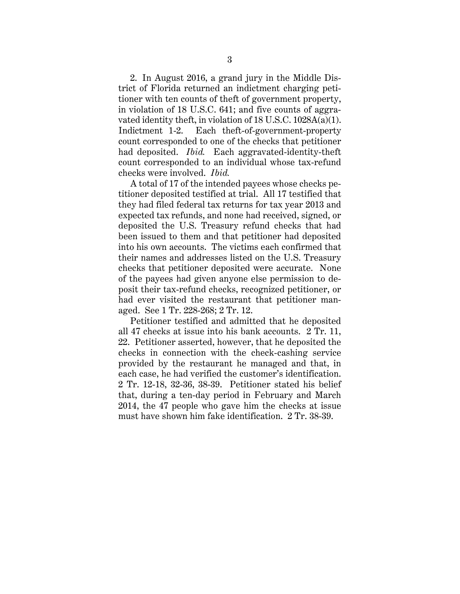2. In August 2016, a grand jury in the Middle District of Florida returned an indictment charging petitioner with ten counts of theft of government property, in violation of 18 U.S.C. 641; and five counts of aggravated identity theft, in violation of 18 U.S.C. 1028A(a)(1). Indictment 1-2. Each theft-of-government-property count corresponded to one of the checks that petitioner had deposited. *Ibid.* Each aggravated-identity-theft count corresponded to an individual whose tax-refund checks were involved. *Ibid.*

A total of 17 of the intended payees whose checks petitioner deposited testified at trial. All 17 testified that they had filed federal tax returns for tax year 2013 and expected tax refunds, and none had received, signed, or deposited the U.S. Treasury refund checks that had been issued to them and that petitioner had deposited into his own accounts. The victims each confirmed that their names and addresses listed on the U.S. Treasury checks that petitioner deposited were accurate. None of the payees had given anyone else permission to deposit their tax-refund checks, recognized petitioner, or had ever visited the restaurant that petitioner managed. See 1 Tr. 228-268; 2 Tr. 12.

Petitioner testified and admitted that he deposited all 47 checks at issue into his bank accounts. 2 Tr. 11, 22. Petitioner asserted, however, that he deposited the checks in connection with the check-cashing service provided by the restaurant he managed and that, in each case, he had verified the customer's identification. 2 Tr. 12-18, 32-36, 38-39. Petitioner stated his belief that, during a ten-day period in February and March 2014, the 47 people who gave him the checks at issue must have shown him fake identification. 2 Tr. 38-39.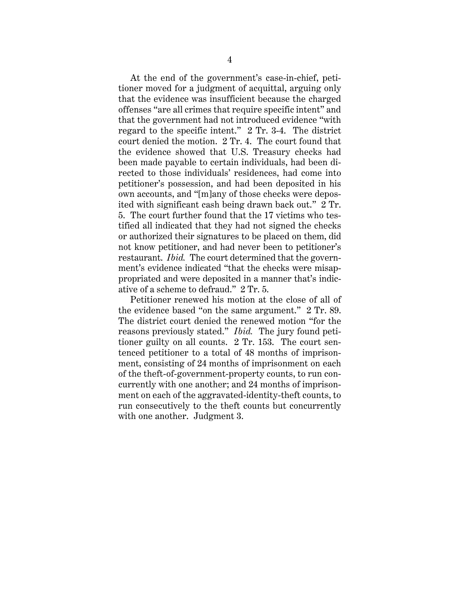At the end of the government's case-in-chief, petitioner moved for a judgment of acquittal, arguing only that the evidence was insufficient because the charged offenses "are all crimes that require specific intent" and that the government had not introduced evidence "with regard to the specific intent." 2 Tr. 3-4. The district court denied the motion. 2 Tr. 4. The court found that the evidence showed that U.S. Treasury checks had been made payable to certain individuals, had been directed to those individuals' residences, had come into petitioner's possession, and had been deposited in his own accounts, and "[m]any of those checks were deposited with significant cash being drawn back out." 2 Tr. 5. The court further found that the 17 victims who testified all indicated that they had not signed the checks or authorized their signatures to be placed on them, did not know petitioner, and had never been to petitioner's restaurant. *Ibid.* The court determined that the government's evidence indicated "that the checks were misappropriated and were deposited in a manner that's indicative of a scheme to defraud." 2 Tr. 5.

Petitioner renewed his motion at the close of all of the evidence based "on the same argument." 2 Tr. 89. The district court denied the renewed motion "for the reasons previously stated." *Ibid.* The jury found petitioner guilty on all counts. 2 Tr. 153. The court sentenced petitioner to a total of 48 months of imprisonment, consisting of 24 months of imprisonment on each of the theft-of-government-property counts, to run concurrently with one another; and 24 months of imprisonment on each of the aggravated-identity-theft counts, to run consecutively to the theft counts but concurrently with one another. Judgment 3.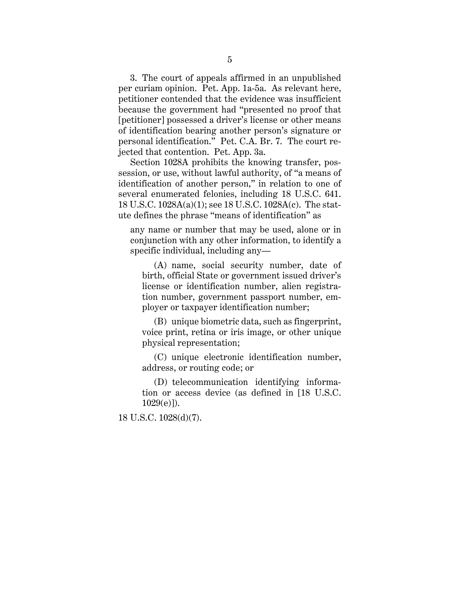3. The court of appeals affirmed in an unpublished per curiam opinion. Pet. App. 1a-5a. As relevant here, petitioner contended that the evidence was insufficient because the government had "presented no proof that [petitioner] possessed a driver's license or other means of identification bearing another person's signature or personal identification." Pet. C.A. Br. 7. The court rejected that contention. Pet. App. 3a.

Section 1028A prohibits the knowing transfer, possession, or use, without lawful authority, of "a means of identification of another person," in relation to one of several enumerated felonies, including 18 U.S.C. 641. 18 U.S.C. 1028A(a)(1); see 18 U.S.C. 1028A(c). The statute defines the phrase "means of identification" as

any name or number that may be used, alone or in conjunction with any other information, to identify a specific individual, including any—

(A) name, social security number, date of birth, official State or government issued driver's license or identification number, alien registration number, government passport number, employer or taxpayer identification number;

(B) unique biometric data, such as fingerprint, voice print, retina or iris image, or other unique physical representation;

(C) unique electronic identification number, address, or routing code; or

(D) telecommunication identifying information or access device (as defined in [18 U.S.C. 1029(e)]).

18 U.S.C. 1028(d)(7).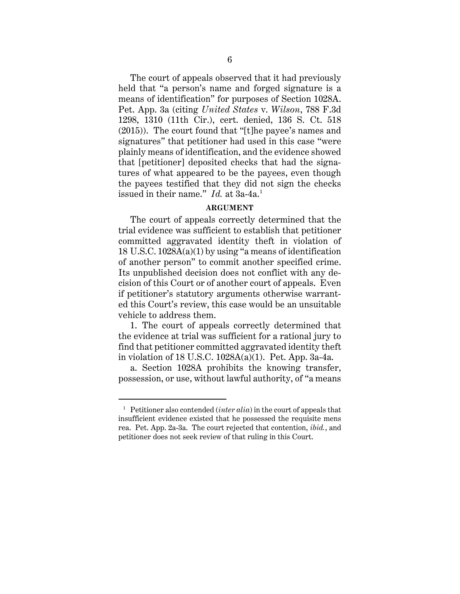The court of appeals observed that it had previously held that "a person's name and forged signature is a means of identification" for purposes of Section 1028A. Pet. App. 3a (citing *United States* v. *Wilson*, 788 F.3d 1298, 1310 (11th Cir.), cert. denied, 136 S. Ct. 518 (2015)). The court found that "[t]he payee's names and signatures" that petitioner had used in this case "were plainly means of identification, and the evidence showed that [petitioner] deposited checks that had the signatures of what appeared to be the payees, even though the payees testified that they did not sign the checks issued in their name." *Id.* at 3a-4a.<sup>1</sup>

### **ARGUMENT**

The court of appeals correctly determined that the trial evidence was sufficient to establish that petitioner committed aggravated identity theft in violation of 18 U.S.C. 1028A(a)(1) by using "a means of identification of another person" to commit another specified crime. Its unpublished decision does not conflict with any decision of this Court or of another court of appeals. Even if petitioner's statutory arguments otherwise warranted this Court's review, this case would be an unsuitable vehicle to address them.

1. The court of appeals correctly determined that the evidence at trial was sufficient for a rational jury to find that petitioner committed aggravated identity theft in violation of 18 U.S.C. 1028A(a)(1). Pet. App. 3a-4a.

a. Section 1028A prohibits the knowing transfer, possession, or use, without lawful authority, of "a means

 $\overline{a}$ 

<sup>1</sup> Petitioner also contended (*inter alia*) in the court of appeals that insufficient evidence existed that he possessed the requisite mens rea. Pet. App. 2a-3a. The court rejected that contention, *ibid.*, and petitioner does not seek review of that ruling in this Court.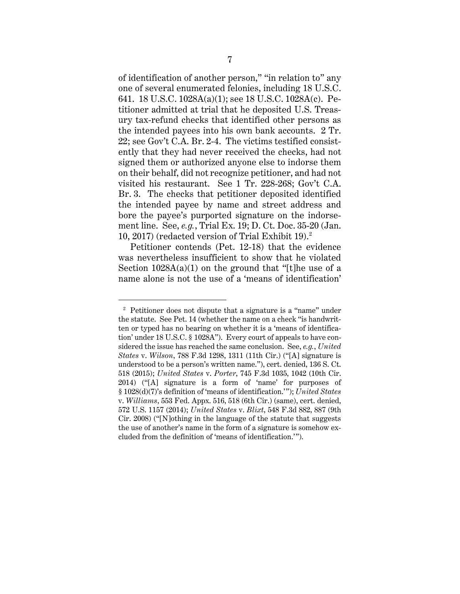of identification of another person," "in relation to" any one of several enumerated felonies, including 18 U.S.C. 641. 18 U.S.C. 1028A(a)(1); see 18 U.S.C. 1028A(c). Petitioner admitted at trial that he deposited U.S. Treasury tax-refund checks that identified other persons as the intended payees into his own bank accounts. 2 Tr. 22; see Gov't C.A. Br. 2-4. The victims testified consistently that they had never received the checks, had not signed them or authorized anyone else to indorse them on their behalf, did not recognize petitioner, and had not visited his restaurant. See 1 Tr. 228-268; Gov't C.A. Br. 3. The checks that petitioner deposited identified the intended payee by name and street address and bore the payee's purported signature on the indorsement line. See, *e.g.*, Trial Ex. 19; D. Ct. Doc. 35-20 (Jan. 10, 2017) (redacted version of Trial Exhibit 19). $^2$ 

Petitioner contends (Pet. 12-18) that the evidence was nevertheless insufficient to show that he violated Section  $1028A(a)(1)$  on the ground that "[t]he use of a name alone is not the use of a 'means of identification'

 $\ddot{\phantom{a}}$ 

<sup>2</sup> Petitioner does not dispute that a signature is a "name" under the statute. See Pet. 14 (whether the name on a check "is handwritten or typed has no bearing on whether it is a 'means of identification' under 18 U.S.C. § 1028A"). Every court of appeals to have considered the issue has reached the same conclusion. See, *e.g.*, *United States* v. *Wilson*, 788 F.3d 1298, 1311 (11th Cir.) ("[A] signature is understood to be a person's written name."), cert. denied, 136 S. Ct. 518 (2015); *United States* v. *Porter*, 745 F.3d 1035, 1042 (10th Cir. 2014) ("[A] signature is a form of 'name' for purposes of § 1028(d)(7)'s definition of 'means of identification.'"); *United States* v. *Williams*, 553 Fed. Appx. 516, 518 (6th Cir.) (same), cert. denied, 572 U.S. 1157 (2014); *United States* v. *Blixt*, 548 F.3d 882, 887 (9th Cir. 2008) ("[N]othing in the language of the statute that suggests the use of another's name in the form of a signature is somehow excluded from the definition of 'means of identification.'").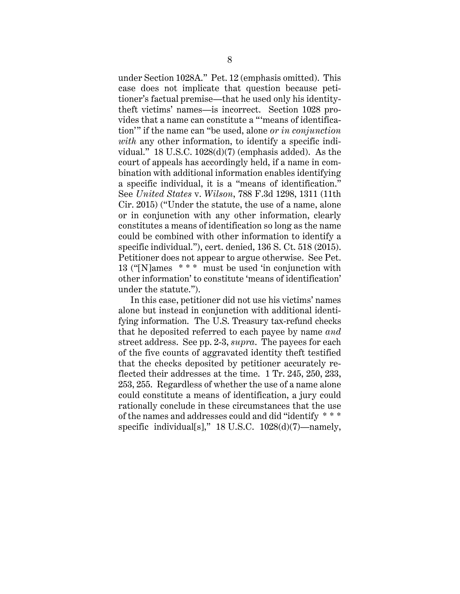under Section 1028A." Pet. 12 (emphasis omitted). This case does not implicate that question because petitioner's factual premise—that he used only his identitytheft victims' names—is incorrect. Section 1028 provides that a name can constitute a "'means of identification'" if the name can "be used, alone *or in conjunction with* any other information, to identify a specific individual." 18 U.S.C. 1028(d)(7) (emphasis added). As the court of appeals has accordingly held, if a name in combination with additional information enables identifying a specific individual, it is a "means of identification." See *United States* v. *Wilson*, 788 F.3d 1298, 1311 (11th Cir. 2015) ("Under the statute, the use of a name, alone or in conjunction with any other information, clearly constitutes a means of identification so long as the name could be combined with other information to identify a specific individual."), cert. denied, 136 S. Ct. 518 (2015). Petitioner does not appear to argue otherwise. See Pet. 13 ("[N]ames \* \* \* must be used 'in conjunction with other information' to constitute 'means of identification' under the statute.").

In this case, petitioner did not use his victims' names alone but instead in conjunction with additional identifying information. The U.S. Treasury tax-refund checks that he deposited referred to each payee by name *and* street address. See pp. 2-3, *supra*. The payees for each of the five counts of aggravated identity theft testified that the checks deposited by petitioner accurately reflected their addresses at the time. 1 Tr. 245, 250, 233, 253, 255. Regardless of whether the use of a name alone could constitute a means of identification, a jury could rationally conclude in these circumstances that the use of the names and addresses could and did "identify \* \* \* specific individual[s]," 18 U.S.C. 1028(d)(7)—namely,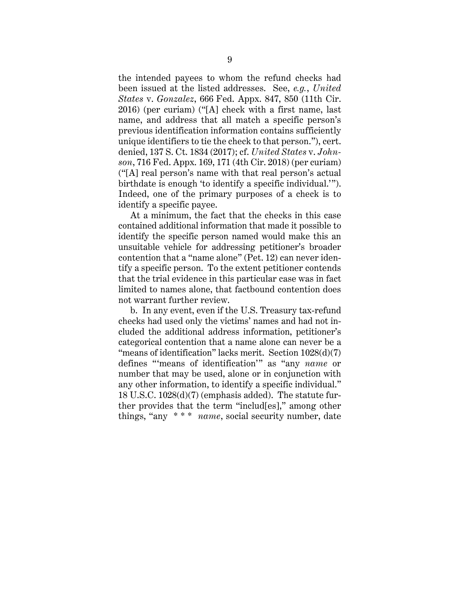the intended payees to whom the refund checks had been issued at the listed addresses. See, *e.g.*, *United States* v. *Gonzalez*, 666 Fed. Appx. 847, 850 (11th Cir. 2016) (per curiam) ("[A] check with a first name, last name, and address that all match a specific person's previous identification information contains sufficiently unique identifiers to tie the check to that person."), cert. denied, 137 S. Ct. 1834 (2017); cf. *United States* v. *Johnson*, 716 Fed. Appx. 169, 171 (4th Cir. 2018) (per curiam) ("[A] real person's name with that real person's actual birthdate is enough 'to identify a specific individual.'"). Indeed, one of the primary purposes of a check is to identify a specific payee.

At a minimum, the fact that the checks in this case contained additional information that made it possible to identify the specific person named would make this an unsuitable vehicle for addressing petitioner's broader contention that a "name alone" (Pet. 12) can never identify a specific person. To the extent petitioner contends that the trial evidence in this particular case was in fact limited to names alone, that factbound contention does not warrant further review.

b. In any event, even if the U.S. Treasury tax-refund checks had used only the victims' names and had not included the additional address information, petitioner's categorical contention that a name alone can never be a "means of identification" lacks merit. Section 1028(d)(7) defines "'means of identification'" as "any *name* or number that may be used, alone or in conjunction with any other information, to identify a specific individual." 18 U.S.C. 1028(d)(7) (emphasis added). The statute further provides that the term "includ[es]," among other things, "any \* \* \* *name*, social security number, date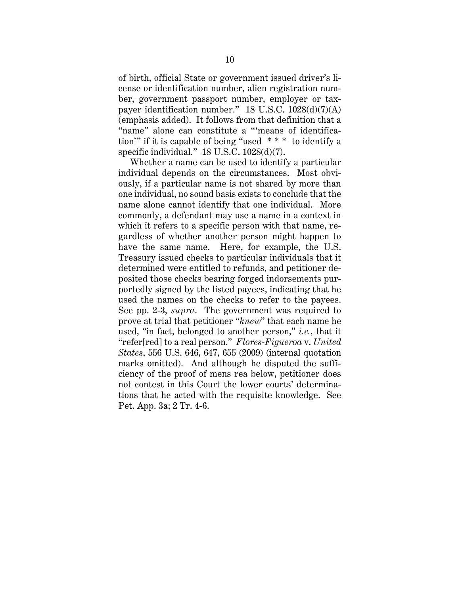of birth, official State or government issued driver's license or identification number, alien registration number, government passport number, employer or taxpayer identification number." 18 U.S.C.  $1028(d)(7)(A)$ (emphasis added). It follows from that definition that a "name" alone can constitute a "'means of identification'" if it is capable of being "used \* \* \* to identify a specific individual." 18 U.S.C. 1028(d)(7).

Whether a name can be used to identify a particular individual depends on the circumstances. Most obviously, if a particular name is not shared by more than one individual, no sound basis exists to conclude that the name alone cannot identify that one individual. More commonly, a defendant may use a name in a context in which it refers to a specific person with that name, regardless of whether another person might happen to have the same name. Here, for example, the U.S. Treasury issued checks to particular individuals that it determined were entitled to refunds, and petitioner deposited those checks bearing forged indorsements purportedly signed by the listed payees, indicating that he used the names on the checks to refer to the payees. See pp. 2-3, *supra*. The government was required to prove at trial that petitioner "*knew*" that each name he used, "in fact, belonged to another person," *i.e.*, that it "refer[red] to a real person." *Flores-Figueroa* v. *United States*, 556 U.S. 646, 647, 655 (2009) (internal quotation marks omitted). And although he disputed the sufficiency of the proof of mens rea below, petitioner does not contest in this Court the lower courts' determinations that he acted with the requisite knowledge. See Pet. App. 3a; 2 Tr. 4-6.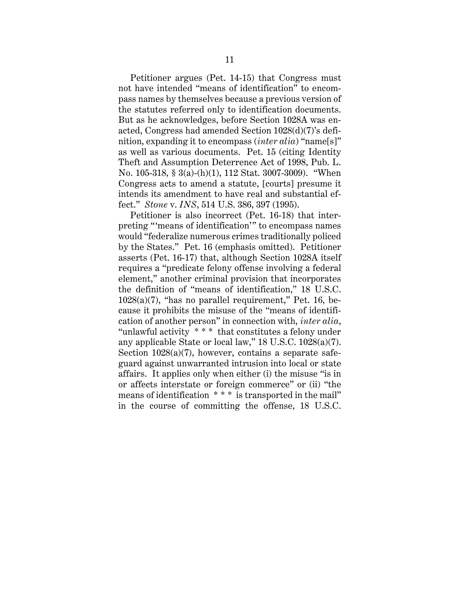Petitioner argues (Pet. 14-15) that Congress must not have intended "means of identification" to encompass names by themselves because a previous version of the statutes referred only to identification documents. But as he acknowledges, before Section 1028A was enacted, Congress had amended Section 1028(d)(7)'s definition, expanding it to encompass (*inter alia*) "name[s]" as well as various documents. Pet. 15 (citing Identity Theft and Assumption Deterrence Act of 1998, Pub. L. No. 105-318, § 3(a)-(h)(1), 112 Stat. 3007-3009). "When Congress acts to amend a statute, [courts] presume it intends its amendment to have real and substantial effect." *Stone* v. *INS*, 514 U.S. 386, 397 (1995).

Petitioner is also incorrect (Pet. 16-18) that interpreting "'means of identification'" to encompass names would "federalize numerous crimes traditionally policed by the States." Pet. 16 (emphasis omitted). Petitioner asserts (Pet. 16-17) that, although Section 1028A itself requires a "predicate felony offense involving a federal element," another criminal provision that incorporates the definition of "means of identification," 18 U.S.C. 1028(a)(7), "has no parallel requirement," Pet. 16, because it prohibits the misuse of the "means of identification of another person" in connection with, *inter alia*, "unlawful activity \* \* \* that constitutes a felony under any applicable State or local law," 18 U.S.C. 1028(a)(7). Section 1028(a)(7), however, contains a separate safeguard against unwarranted intrusion into local or state affairs. It applies only when either (i) the misuse "is in or affects interstate or foreign commerce" or (ii) "the means of identification \* \* \* is transported in the mail" in the course of committing the offense, 18 U.S.C.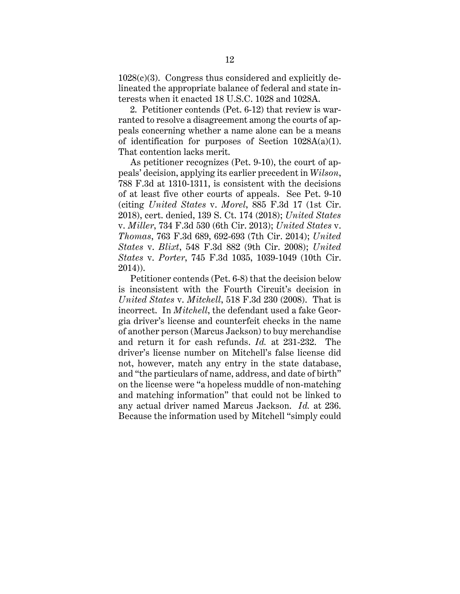$1028(c)(3)$ . Congress thus considered and explicitly delineated the appropriate balance of federal and state interests when it enacted 18 U.S.C. 1028 and 1028A.

2. Petitioner contends (Pet. 6-12) that review is warranted to resolve a disagreement among the courts of appeals concerning whether a name alone can be a means of identification for purposes of Section  $1028A(a)(1)$ . That contention lacks merit.

As petitioner recognizes (Pet. 9-10), the court of appeals' decision, applying its earlier precedent in *Wilson*, 788 F.3d at 1310-1311, is consistent with the decisions of at least five other courts of appeals. See Pet. 9-10 (citing *United States* v. *Morel*, 885 F.3d 17 (1st Cir. 2018), cert. denied, 139 S. Ct. 174 (2018); *United States* v. *Miller*, 734 F.3d 530 (6th Cir. 2013); *United States* v. *Thomas*, 763 F.3d 689, 692-693 (7th Cir. 2014); *United States* v. *Blixt*, 548 F.3d 882 (9th Cir. 2008); *United States* v. *Porter*, 745 F.3d 1035, 1039-1049 (10th Cir. 2014)).

Petitioner contends (Pet. 6-8) that the decision below is inconsistent with the Fourth Circuit's decision in *United States* v. *Mitchell*, 518 F.3d 230 (2008). That is incorrect. In *Mitchell*, the defendant used a fake Georgia driver's license and counterfeit checks in the name of another person (Marcus Jackson) to buy merchandise and return it for cash refunds. *Id.* at 231-232. The driver's license number on Mitchell's false license did not, however, match any entry in the state database, and "the particulars of name, address, and date of birth" on the license were "a hopeless muddle of non-matching and matching information" that could not be linked to any actual driver named Marcus Jackson. *Id.* at 236. Because the information used by Mitchell "simply could